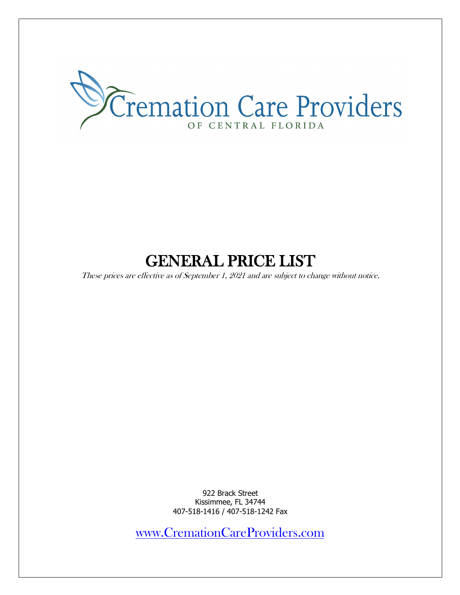

# GENERAL PRICE LIST

These prices are effective as of September 1, 2021 and are subject to change without notice.

922 Brack Street Kissimmee, FL 34744 407-518-1416 / 407-518-1242 Fax

www.CremationCareProviders.com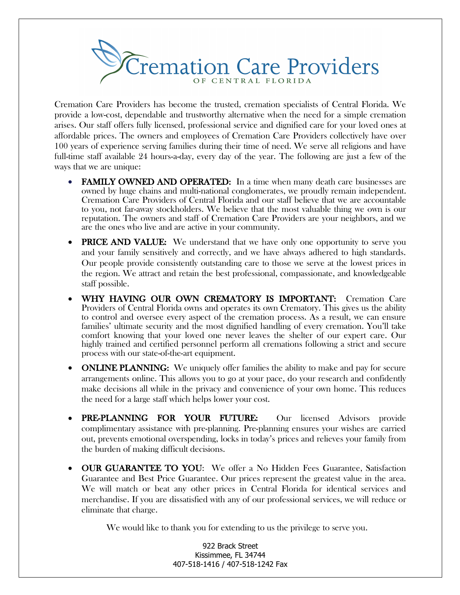

Cremation Care Providers has become the trusted, cremation specialists of Central Florida. We provide a low-cost, dependable and trustworthy alternative when the need for a simple cremation arises. Our staff offers fully licensed, professional service and dignified care for your loved ones at affordable prices. The owners and employees of Cremation Care Providers collectively have over 100 years of experience serving families during their time of need. We serve all religions and have full-time staff available 24 hours-a-day, every day of the year. The following are just a few of the ways that we are unique:

- FAMILY OWNED AND OPERATED: In a time when many death care businesses are owned by huge chains and multi-national conglomerates, we proudly remain independent. Cremation Care Providers of Central Florida and our staff believe that we are accountable to you, not far-away stockholders. We believe that the most valuable thing we own is our reputation. The owners and staff of Cremation Care Providers are your neighbors, and we are the ones who live and are active in your community.
- **PRICE AND VALUE:** We understand that we have only one opportunity to serve you and your family sensitively and correctly, and we have always adhered to high standards. Our people provide consistently outstanding care to those we serve at the lowest prices in the region. We attract and retain the best professional, compassionate, and knowledgeable staff possible.
- WHY HAVING OUR OWN CREMATORY IS IMPORTANT: Cremation Care Providers of Central Florida owns and operates its own Crematory. This gives us the ability to control and oversee every aspect of the cremation process. As a result, we can ensure families' ultimate security and the most dignified handling of every cremation. You'll take comfort knowing that your loved one never leaves the shelter of our expert care. Our highly trained and certified personnel perform all cremations following a strict and secure process with our state-of-the-art equipment.
- **ONLINE PLANNING:** We uniquely offer families the ability to make and pay for secure arrangements online. This allows you to go at your pace, do your research and confidently make decisions all while in the privacy and convenience of your own home. This reduces the need for a large staff which helps lower your cost.
- PRE-PLANNING FOR YOUR FUTURE: Our licensed Advisors provide complimentary assistance with pre-planning. Pre-planning ensures your wishes are carried out, prevents emotional overspending, locks in today's prices and relieves your family from the burden of making difficult decisions.
- OUR GUARANTEE TO YOU: We offer a No Hidden Fees Guarantee, Satisfaction Guarantee and Best Price Guarantee. Our prices represent the greatest value in the area. We will match or beat any other prices in Central Florida for identical services and merchandise. If you are dissatisfied with any of our professional services, we will reduce or eliminate that charge.

We would like to thank you for extending to us the privilege to serve you.

922 Brack Street Kissimmee, FL 34744 407-518-1416 / 407-518-1242 Fax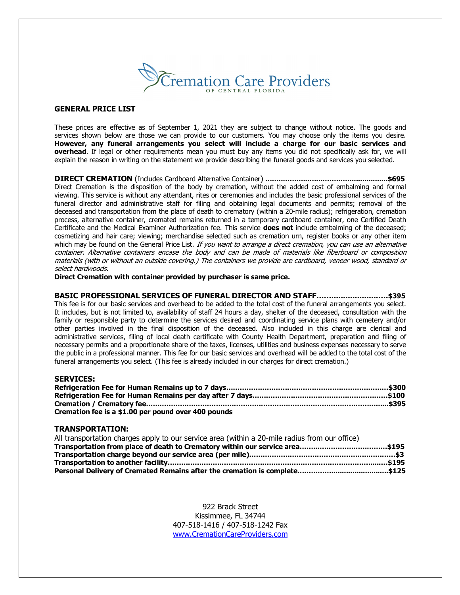

## **GENERAL PRICE LIST**

These prices are effective as of September 1, 2021 they are subject to change without notice. The goods and services shown below are those we can provide to our customers. You may choose only the items you desire. **However, any funeral arrangements you select will include a charge for our basic services and overhead**. If legal or other requirements mean you must buy any items you did not specifically ask for, we will explain the reason in writing on the statement we provide describing the funeral goods and services you selected.

**DIRECT CREMATION** (Includes Cardboard Alternative Container) **……..………...…...…….…….................\$695** Direct Cremation is the disposition of the body by cremation, without the added cost of embalming and formal viewing. This service is without any attendant, rites or ceremonies and includes the basic professional services of the funeral director and administrative staff for filing and obtaining legal documents and permits; removal of the deceased and transportation from the place of death to crematory (within a 20-mile radius); refrigeration, cremation process, alternative container, cremated remains returned in a temporary cardboard container, one Certified Death Certificate and the Medical Examiner Authorization fee. This service **does not** include embalming of the deceased; cosmetizing and hair care; viewing; merchandise selected such as cremation urn, register books or any other item which may be found on the General Price List. If you want to arrange a direct cremation, you can use an alternative container. Alternative containers encase the body and can be made of materials like fiberboard or composition materials (with or without an outside covering.) The containers we provide are cardboard, veneer wood, standard or select hardwoods.

**Direct Cremation with container provided by purchaser is same price.** 

**BASIC PROFESSIONAL SERVICES OF FUNERAL DIRECTOR AND STAFF……....................….\$395** This fee is for our basic services and overhead to be added to the total cost of the funeral arrangements you select. It includes, but is not limited to, availability of staff 24 hours a day, shelter of the deceased, consultation with the family or responsible party to determine the services desired and coordinating service plans with cemetery and/or other parties involved in the final disposition of the deceased. Also included in this charge are clerical and administrative services, filing of local death certificate with County Health Department, preparation and filing of necessary permits and a proportionate share of the taxes, licenses, utilities and business expenses necessary to serve the public in a professional manner. This fee for our basic services and overhead will be added to the total cost of the funeral arrangements you select. (This fee is already included in our charges for direct cremation.)

#### **SERVICES:**

| Cremation fee is a \$1.00 per pound over 400 pounds |  |
|-----------------------------------------------------|--|

#### **TRANSPORTATION:**

| All transportation charges apply to our service area (within a 20-mile radius from our office) |  |
|------------------------------------------------------------------------------------------------|--|
|                                                                                                |  |
|                                                                                                |  |
|                                                                                                |  |
|                                                                                                |  |

922 Brack Street Kissimmee, FL 34744 407-518-1416 / 407-518-1242 Fax www.CremationCareProviders.com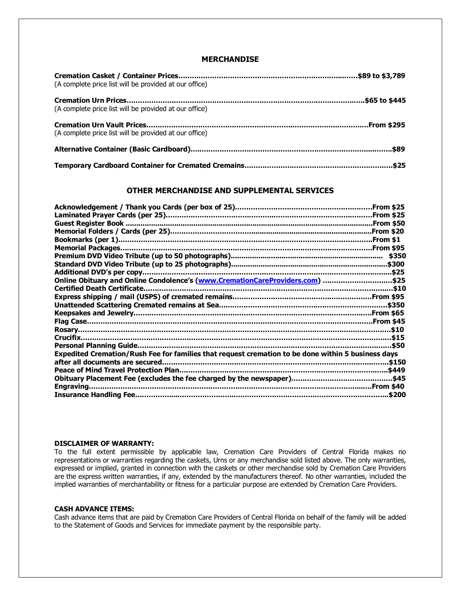# **MERCHANDISE**

| (A complete price list will be provided at our office) |  |
|--------------------------------------------------------|--|
| (A complete price list will be provided at our office) |  |
| (A complete price list will be provided at our office) |  |
|                                                        |  |
|                                                        |  |

### **OTHER MERCHANDISE AND SUPPLEMENTAL SERVICES**

|                                                                                                    | \$350  |
|----------------------------------------------------------------------------------------------------|--------|
|                                                                                                    |        |
|                                                                                                    |        |
| Online Obituary and Online Condolence's (www.CremationCareProviders.com) \$25                      |        |
|                                                                                                    |        |
|                                                                                                    |        |
|                                                                                                    |        |
|                                                                                                    |        |
|                                                                                                    |        |
|                                                                                                    |        |
| Crucifix.                                                                                          |        |
|                                                                                                    |        |
| Expedited Cremation/Rush Fee for families that request cremation to be done within 5 business days |        |
|                                                                                                    | .\$150 |
|                                                                                                    |        |
|                                                                                                    |        |
|                                                                                                    |        |
|                                                                                                    | \$200  |
|                                                                                                    |        |

#### **DISCLAIMER OF WARRANTY:**

To the full extent permissible by applicable law, Cremation Care Providers of Central Florida makes no representations or warranties regarding the caskets, Urns or any merchandise sold listed above. The only warranties, expressed or implied, granted in connection with the caskets or other merchandise sold by Cremation Care Providers are the express written warranties, if any, extended by the manufacturers thereof. No other warranties, included the implied warranties of merchantability or fitness for a particular purpose are extended by Cremation Care Providers.

## **CASH ADVANCE ITEMS:**

Cash advance items that are paid by Cremation Care Providers of Central Florida on behalf of the family will be added to the Statement of Goods and Services for immediate payment by the responsible party.